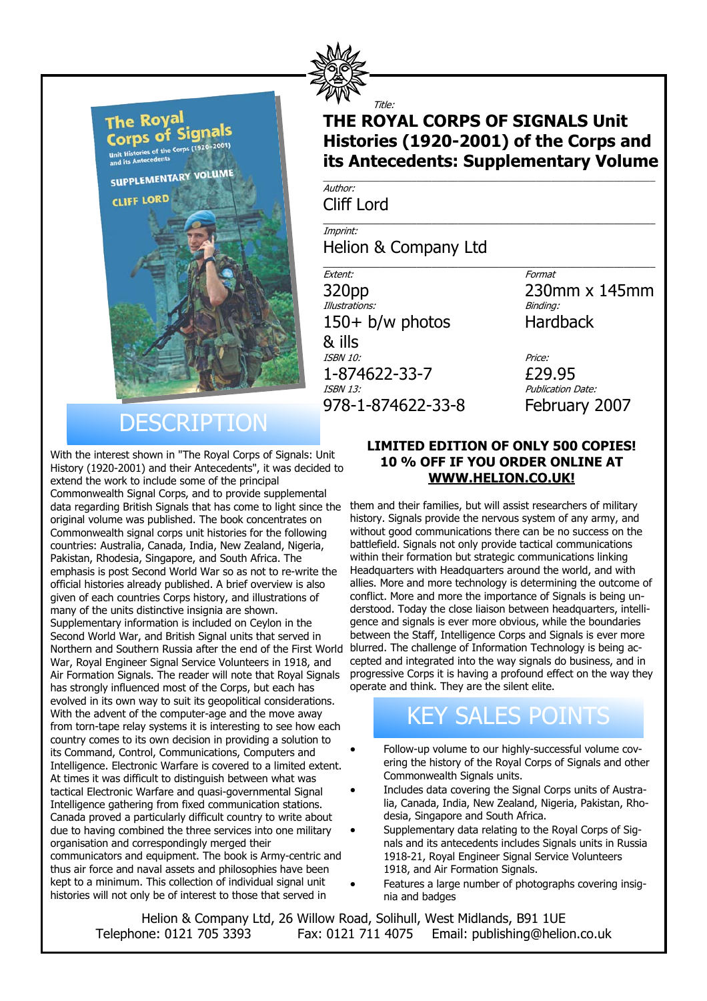

Title:

### **THE ROYAL CORPS OF SIGNALS Unit Histories (1920-2001) of the Corps and its Antecedents: Supplementary Volume** \_\_\_\_\_\_\_\_\_\_\_\_\_\_\_\_\_\_\_\_\_\_\_\_\_\_\_\_\_\_\_\_\_\_\_\_\_\_\_\_\_\_\_\_\_\_\_\_\_\_\_\_\_\_\_\_\_\_\_\_\_\_\_\_

\_\_\_\_\_\_\_\_\_\_\_\_\_\_\_\_\_\_\_\_\_\_\_\_\_\_\_\_\_\_\_\_\_\_\_\_\_\_\_\_\_\_\_\_\_\_\_\_\_\_\_\_\_\_\_\_\_\_\_\_\_\_\_\_

\_\_\_\_\_\_\_\_\_\_\_\_\_\_\_\_\_\_\_\_\_\_\_\_\_\_\_\_\_\_\_\_\_\_\_\_\_\_\_\_\_\_\_\_\_\_\_\_\_\_\_\_\_\_\_\_\_\_\_\_\_\_\_\_

Author: Cliff Lord

Imprint: Helion & Company Ltd

Extent: Format  $320 \text{pp}$  230mm x 145mm Illustrations: 150+ b/w photos Hardback & ills ISBN 10: Price: **1-874622-33-7 £29.95**<br>*ISBN 13: Publication L* 978-1-874622-33-8 February 2007

Publication Date:

# **DESCRIPTION**

With the interest shown in "The Royal Corps of Signals: Unit History (1920-2001) and their Antecedents", it was decided to extend the work to include some of the principal Commonwealth Signal Corps, and to provide supplemental data regarding British Signals that has come to light since the original volume was published. The book concentrates on Commonwealth signal corps unit histories for the following countries: Australia, Canada, India, New Zealand, Nigeria, Pakistan, Rhodesia, Singapore, and South Africa. The emphasis is post Second World War so as not to re-write the official histories already published. A brief overview is also given of each countries Corps history, and illustrations of many of the units distinctive insignia are shown. Supplementary information is included on Ceylon in the Second World War, and British Signal units that served in Northern and Southern Russia after the end of the First World War, Royal Engineer Signal Service Volunteers in 1918, and Air Formation Signals. The reader will note that Royal Signals has strongly influenced most of the Corps, but each has evolved in its own way to suit its geopolitical considerations. With the advent of the computer-age and the move away from torn-tape relay systems it is interesting to see how each country comes to its own decision in providing a solution to its Command, Control, Communications, Computers and Intelligence. Electronic Warfare is covered to a limited extent. At times it was difficult to distinguish between what was tactical Electronic Warfare and quasi-governmental Signal Intelligence gathering from fixed communication stations. Canada proved a particularly difficult country to write about due to having combined the three services into one military organisation and correspondingly merged their communicators and equipment. The book is Army-centric and thus air force and naval assets and philosophies have been kept to a minimum. This collection of individual signal unit histories will not only be of interest to those that served in

#### **LIMITED EDITION OF ONLY 500 COPIES! 10 % OFF IF YOU ORDER ONLINE AT WWW.HELION.CO.UK!**

them and their families, but will assist researchers of military history. Signals provide the nervous system of any army, and without good communications there can be no success on the battlefield. Signals not only provide tactical communications within their formation but strategic communications linking Headquarters with Headquarters around the world, and with allies. More and more technology is determining the outcome of conflict. More and more the importance of Signals is being understood. Today the close liaison between headquarters, intelligence and signals is ever more obvious, while the boundaries between the Staff, Intelligence Corps and Signals is ever more blurred. The challenge of Information Technology is being accepted and integrated into the way signals do business, and in progressive Corps it is having a profound effect on the way they operate and think. They are the silent elite.

## KEY SALES POINTS

- Follow-up volume to our highly-successful volume covering the history of the Royal Corps of Signals and other Commonwealth Signals units.
- Includes data covering the Signal Corps units of Australia, Canada, India, New Zealand, Nigeria, Pakistan, Rhodesia, Singapore and South Africa.
- Supplementary data relating to the Royal Corps of Signals and its antecedents includes Signals units in Russia 1918-21, Royal Engineer Signal Service Volunteers 1918, and Air Formation Signals.
- Features a large number of photographs covering insignia and badges

Helion & Company Ltd, 26 Willow Road, Solihull, West Midlands, B91 1UE Telephone: 0121 705 3393 Fax: 0121 711 4075 Email: publishing@helion.co.uk